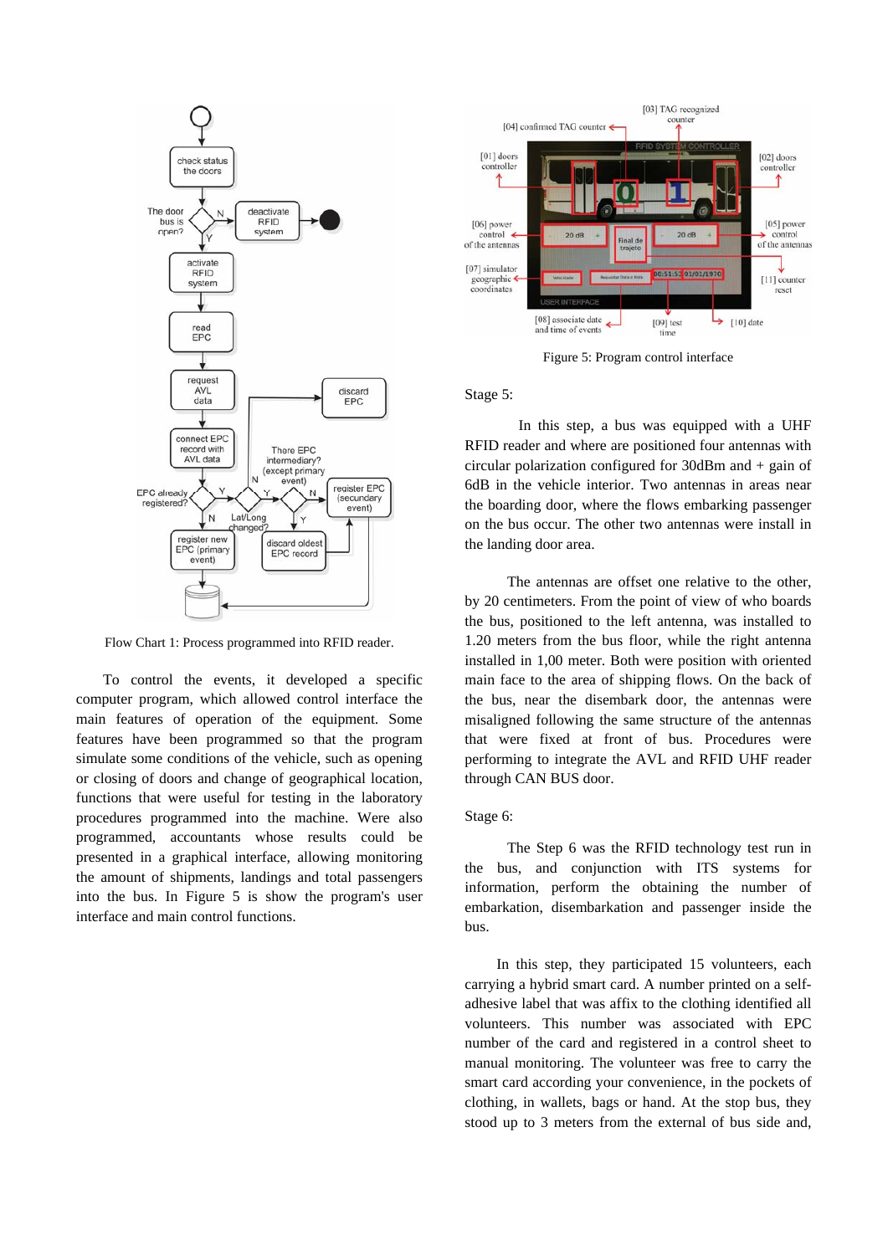

Flow Chart 1: Process programmed into RFID reader.

To control the events, it developed a specific computer program, which allowed control interface the main features of operation of the equipment. Some features have been programmed so that the program simulate some conditions of the vehicle, such as opening or closing of doors and change of geographical location, functions that were useful for testing in the laboratory procedures programmed into the machine. Were also programmed, accountants whose results could be presented in a graphical interface, allowing monitoring the amount of shipments, landings and total passengers into the bus. In Figure 5 is show the program's user interface and main control functions.



Figure 5: Program control interface

Stage 5:

 In this step, a bus was equipped with a UHF RFID reader and where are positioned four antennas with circular polarization configured for 30dBm and + gain of 6dB in the vehicle interior. Two antennas in areas near the boarding door, where the flows embarking passenger on the bus occur. The other two antennas were install in the landing door area.

The antennas are offset one relative to the other, by 20 centimeters. From the point of view of who boards the bus, positioned to the left antenna, was installed to 1.20 meters from the bus floor, while the right antenna installed in 1,00 meter. Both were position with oriented main face to the area of shipping flows. On the back of the bus, near the disembark door, the antennas were misaligned following the same structure of the antennas that were fixed at front of bus. Procedures were performing to integrate the AVL and RFID UHF reader through CAN BUS door.

### Stage 6:

The Step 6 was the RFID technology test run in the bus, and conjunction with ITS systems for information, perform the obtaining the number of embarkation, disembarkation and passenger inside the bus.

In this step, they participated 15 volunteers, each carrying a hybrid smart card. A number printed on a selfadhesive label that was affix to the clothing identified all volunteers. This number was associated with EPC number of the card and registered in a control sheet to manual monitoring. The volunteer was free to carry the smart card according your convenience, in the pockets of clothing, in wallets, bags or hand. At the stop bus, they stood up to 3 meters from the external of bus side and,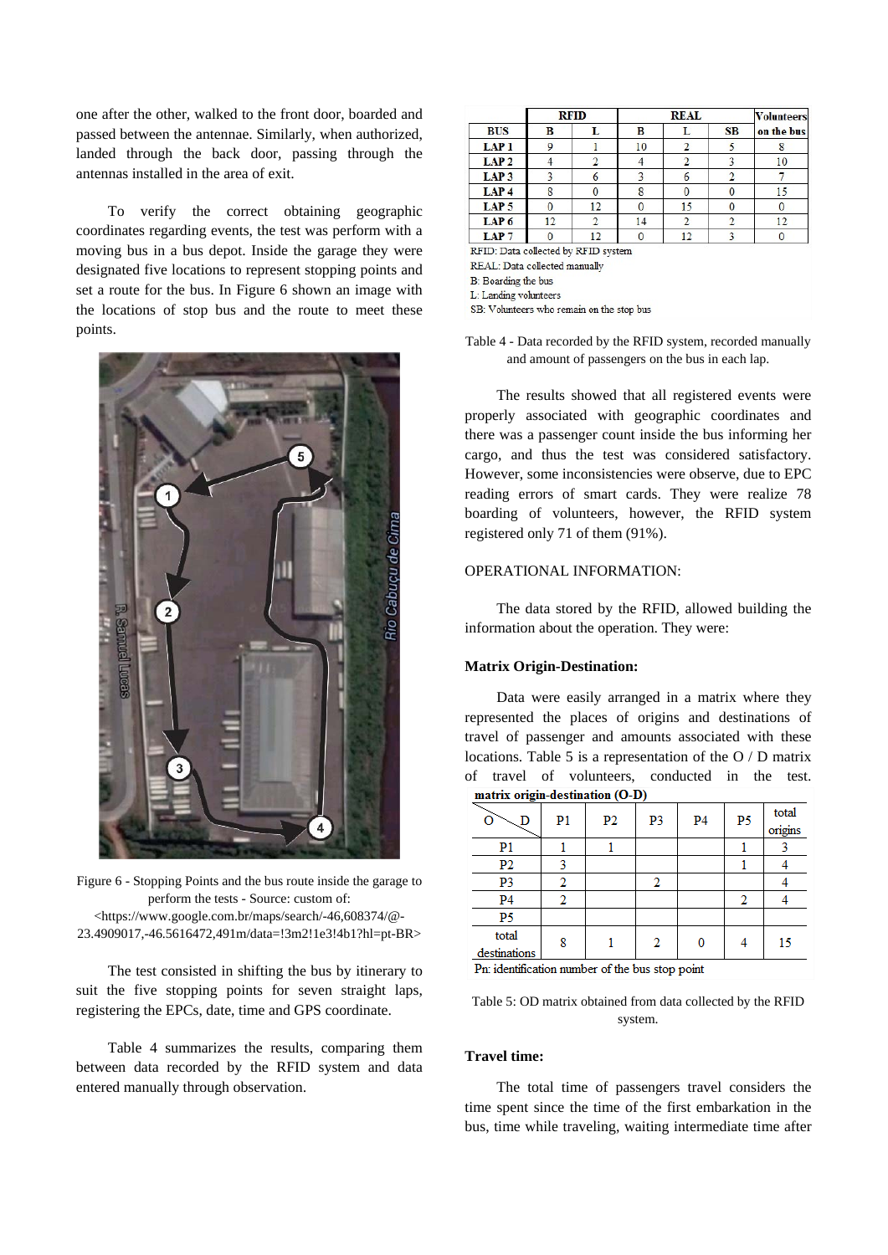one after the other, walked to the front door, boarded and passed between the antennae. Similarly, when authorized, landed through the back door, passing through the antennas installed in the area of exit.

To verify the correct obtaining geographic coordinates regarding events, the test was perform with a moving bus in a bus depot. Inside the garage they were designated five locations to represent stopping points and set a route for the bus. In Figure 6 shown an image with the locations of stop bus and the route to meet these points.



Figure 6 - Stopping Points and the bus route inside the garage to perform the tests - Source: custom of: <https://www.google.com.br/maps/search/-46,608374/@- 23.4909017,-46.5616472,491m/data=!3m2!1e3!4b1?hl=pt-BR>

The test consisted in shifting the bus by itinerary to suit the five stopping points for seven straight laps, registering the EPCs, date, time and GPS coordinate.

Table 4 summarizes the results, comparing them between data recorded by the RFID system and data entered manually through observation.

|                  | <b>RFID</b> |    |    | <b>Volunteers</b> |           |            |
|------------------|-------------|----|----|-------------------|-----------|------------|
| <b>BUS</b>       | в           |    | в  |                   | <b>SB</b> | on the bus |
| LAP <sub>1</sub> | 9           |    | 10 |                   |           |            |
| LAP <sub>2</sub> |             |    |    |                   |           | 10         |
| LAP <sub>3</sub> |             | o  |    | O                 |           |            |
| LAP <sub>4</sub> |             |    | 8  |                   |           | 15         |
| LAP <sub>5</sub> |             | 12 |    | 15                |           |            |
| LAP <sub>6</sub> | 12          |    | 14 |                   |           | 12         |
| LAP <sub>7</sub> |             | 12 |    | 12                |           |            |

RFID: Data collected by RFID system

REAL: Data collected manually

**B:** Boarding the bus

L: Landing volunteers

SB: Volunteers who remain on the stop bus

Table 4 - Data recorded by the RFID system, recorded manually and amount of passengers on the bus in each lap.

The results showed that all registered events were properly associated with geographic coordinates and there was a passenger count inside the bus informing her cargo, and thus the test was considered satisfactory. However, some inconsistencies were observe, due to EPC reading errors of smart cards. They were realize 78 boarding of volunteers, however, the RFID system registered only 71 of them (91%).

### OPERATIONAL INFORMATION:

The data stored by the RFID, allowed building the information about the operation. They were:

## **Matrix Origin-Destination:**

Data were easily arranged in a matrix where they represented the places of origins and destinations of travel of passenger and amounts associated with these locations. Table 5 is a representation of the O / D matrix of travel of volunteers, conducted in the test. matrix origin-destination (O-D)

| <u>in the community of the set of the community of the set of the community of the community of the community of the community of the community of the community of the community of the community of the community of the commu</u><br>$\sqrt{-1}$ |    |                |    |                |    |                  |  |  |
|-----------------------------------------------------------------------------------------------------------------------------------------------------------------------------------------------------------------------------------------------------|----|----------------|----|----------------|----|------------------|--|--|
| $\leqslant$<br>D                                                                                                                                                                                                                                    | P1 | P <sub>2</sub> | P3 | P <sub>4</sub> | P5 | total<br>origins |  |  |
| P1                                                                                                                                                                                                                                                  |    |                |    |                |    |                  |  |  |
| P <sub>2</sub>                                                                                                                                                                                                                                      |    |                |    |                |    |                  |  |  |
| P3                                                                                                                                                                                                                                                  |    |                |    |                |    |                  |  |  |
| P <sub>4</sub>                                                                                                                                                                                                                                      |    |                |    |                |    |                  |  |  |
| P5                                                                                                                                                                                                                                                  |    |                |    |                |    |                  |  |  |
| total                                                                                                                                                                                                                                               | 8  |                |    |                |    | 15               |  |  |
| destinations                                                                                                                                                                                                                                        |    |                |    |                |    |                  |  |  |

Pn: identification number of the bus stop point

## Table 5: OD matrix obtained from data collected by the RFID system.

# **Travel time:**

The total time of passengers travel considers the time spent since the time of the first embarkation in the bus, time while traveling, waiting intermediate time after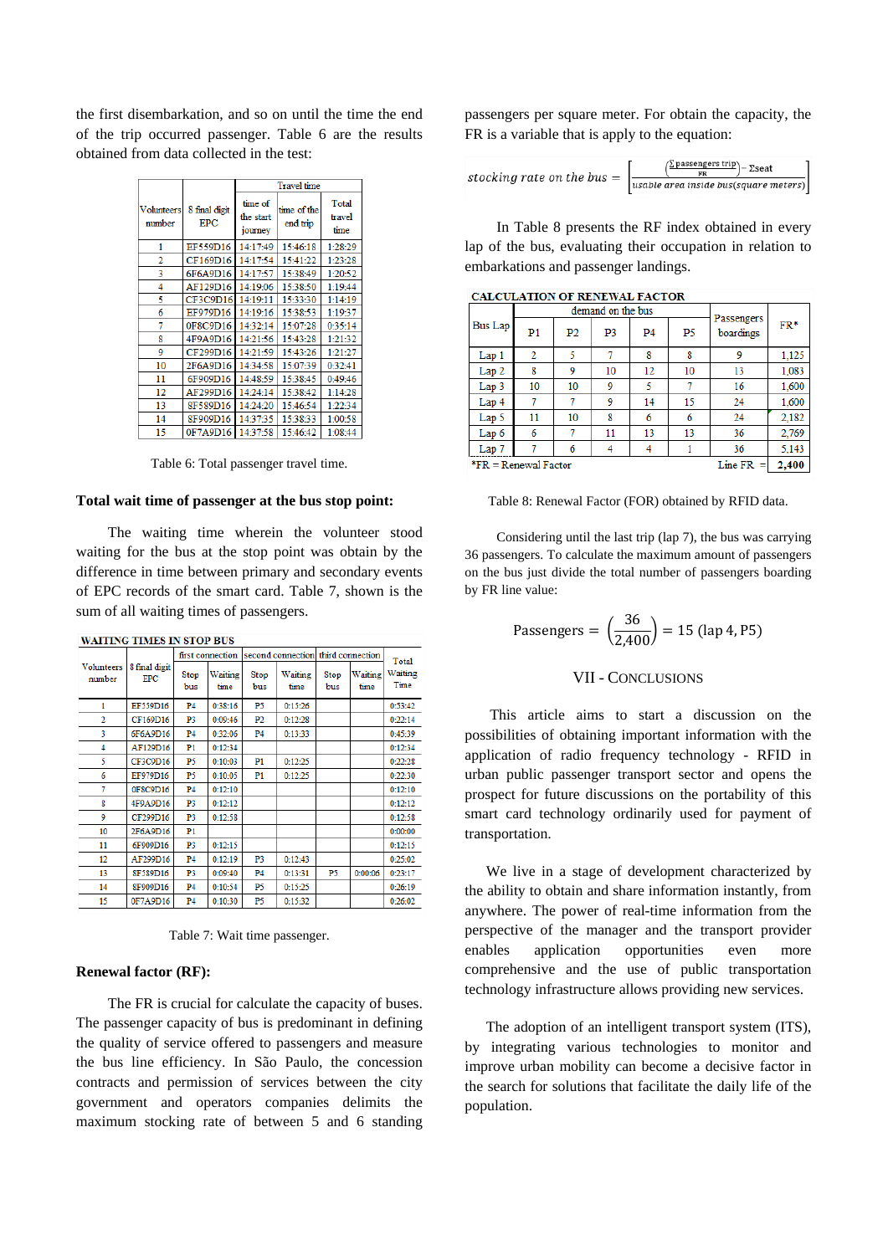the first disembarkation, and so on until the time the end of the trip occurred passenger. Table 6 are the results obtained from data collected in the test:

|                             |                             | <b>Travel</b> time              |                         |                         |  |  |
|-----------------------------|-----------------------------|---------------------------------|-------------------------|-------------------------|--|--|
| <b>Volunteers</b><br>number | 8 final digit<br><b>EPC</b> | time of<br>the start<br>journey | time of the<br>end trip | Total<br>travel<br>time |  |  |
| 1                           | EF559D16                    | 14:17:49                        | 15:46:18                | 1:28:29                 |  |  |
| 2                           | CF169D16                    | 14:17:54                        | 15:41:22                | 1:23:28                 |  |  |
| 3                           | 6F6A9D16                    | 14:17:57                        | 15:38:49                | 1:20:52                 |  |  |
| 4                           | AF129D16                    | 14:19:06                        | 15:38:50                | 1:19:44                 |  |  |
| 5                           | CF3C9D16                    | 14:19:11                        | 15:33:30                | 1:14:19                 |  |  |
| 6                           | EF979D16                    | 14:19:16                        | 15:38:53                | 1:19:37                 |  |  |
| 7                           | 0F8C9D16                    | 14:32:14                        | 15:07:28                | 0:35:14                 |  |  |
| 8                           | 4F9A9D16                    | 14:21:56                        | 15:43:28                | 1:21:32                 |  |  |
| 9                           | CF299D16                    | 14:21:59                        | 15:43:26                | 1:21:27                 |  |  |
| 10                          | 2F6A9D16                    | 14:34:58                        | 15:07:39                | 0:32:41                 |  |  |
| 11                          | 6F909D16                    | 14:48:59                        | 15-38-45                | 0:49:46                 |  |  |
| 12                          | AF299D16                    | 14.24.14                        | 15:38:42                | 1:14:28                 |  |  |
| 13                          | 8F589D16                    | 14:24:20                        | 15:46:54                | 1:22:34                 |  |  |
| 14                          | 8F909D16                    | 14:37:35                        | 15:38:33                | 1:00:58                 |  |  |
| 15                          | 0F7A9D16                    | 14:37:58                        | 15:46:42                | 1:08:44                 |  |  |

Table 6: Total passenger travel time.

#### **Total wait time of passenger at the bus stop point:**

The waiting time wherein the volunteer stood waiting for the bus at the stop point was obtain by the difference in time between primary and secondary events of EPC records of the smart card. Table 7, shown is the sum of all waiting times of passengers.

| WAITING TIMES IN STOP BUS                 |               |                  |                 |                                    |                 |             |                 |                 |  |
|-------------------------------------------|---------------|------------------|-----------------|------------------------------------|-----------------|-------------|-----------------|-----------------|--|
| <b>Volunteers</b><br><b>EPC</b><br>number |               | first connection |                 | second connection third connection |                 |             |                 | Total           |  |
|                                           | 8 final digit | Stop<br>bus      | Waiting<br>time | Stop<br>bus                        | Waiting<br>time | Stop<br>bus | Waiting<br>time | Waiting<br>Time |  |
| 1                                         | EF559D16      | <b>P4</b>        | 0:38:16         | P5                                 | 0:15:26         |             |                 | 0:53:42         |  |
| $\overline{2}$                            | CF169D16      | P3               | 0:09:46         | P2                                 | 0:12:28         |             |                 | 0:22:14         |  |
| 3                                         | 6F6A9D16      | <b>P4</b>        | 0:32:06         | <b>P4</b>                          | 0:13:33         |             |                 | 0:45:39         |  |
| 4                                         | AF129D16      | P1               | 0:12:34         |                                    |                 |             |                 | 0:12:34         |  |
| 5                                         | CF3C9D16      | P5               | 0:10:03         | P1                                 | 0:12:25         |             |                 | 0:22:28         |  |
| 6                                         | EF979D16      | P5               | 0:10:05         | P1                                 | 0:12:25         |             |                 | 0:22:30         |  |
| 7                                         | 0F8C9D16      | <b>P4</b>        | 0:12:10         |                                    |                 |             |                 | 0:12:10         |  |
| 8                                         | 4F9A9D16      | P3               | 0:12:12         |                                    |                 |             |                 | 0:12:12         |  |
| 9                                         | CF299D16      | P3               | 0:12:58         |                                    |                 |             |                 | 0:12:58         |  |
| 10                                        | 2F6A9D16      | P1               |                 |                                    |                 |             |                 | 0:00:00         |  |
| 11                                        | 6F909D16      | P3               | 0:12:15         |                                    |                 |             |                 | 0:12:15         |  |
| 12                                        | AF299D16      | <b>P4</b>        | 0:12:19         | P3                                 | 0:12:43         |             |                 | 0:25:02         |  |
| 13                                        | 8F589D16      | P3               | 0:09:40         | P <sub>4</sub>                     | 0:13:31         | P5          | 0:00:06         | 0:23:17         |  |
| 14                                        | 8F909D16      | P <sub>4</sub>   | 0:10:54         | P5                                 | 0:15:25         |             |                 | 0:26:19         |  |
| 15                                        | 0F7A9D16      | <b>P4</b>        | 0:10:30         | P5                                 | 0:15:32         |             |                 | 0:26:02         |  |

Table 7: Wait time passenger.

## **Renewal factor (RF):**

The FR is crucial for calculate the capacity of buses. The passenger capacity of bus is predominant in defining the quality of service offered to passengers and measure the bus line efficiency. In São Paulo, the concession contracts and permission of services between the city government and operators companies delimits the maximum stocking rate of between 5 and 6 standing

passengers per square meter. For obtain the capacity, the FR is a variable that is apply to the equation:

In Table 8 presents the RF index obtained in every lap of the bus, evaluating their occupation in relation to embarkations and passenger landings.

| <b>CALCULATION OF RENEWAL FACTOR</b> |  |  |  |
|--------------------------------------|--|--|--|
|                                      |  |  |  |

|                        |                | demand on the bus | Passengers     |                |                |             |       |
|------------------------|----------------|-------------------|----------------|----------------|----------------|-------------|-------|
| <b>Bus</b> Lap         | P <sub>1</sub> | P <sub>2</sub>    | P <sub>3</sub> | P <sub>4</sub> | P <sub>5</sub> | boardings   | FR*   |
| Lap1                   | $\overline{2}$ | 5                 |                | 8              | 8              | 9           | 1,125 |
| Lap2                   | 8              | 9                 | 10             | 12             | 10             | 13          | 1,083 |
| Lap <sub>3</sub>       | 10             | 10                | 9              | 5              | 7              | 16          | 1,600 |
| Lap 4                  | 7              | 7                 | 9              | 14             | 15             | 24          | 1,600 |
| Lap 5                  | 11             | 10                | 8              | 6              | 6              | 24          | 2,182 |
| Lap 6                  | 6              | 7                 | 11             | 13             | 13             | 36          | 2,769 |
| Lap 7                  |                | 6                 | 4              | 4              |                | 36          | 5,143 |
| $*FR =$ Renewal Factor |                |                   |                |                |                | Line $FR =$ | 2,400 |

#### Table 8: Renewal Factor (FOR) obtained by RFID data.

Considering until the last trip (lap 7), the bus was carrying 36 passengers. To calculate the maximum amount of passengers on the bus just divide the total number of passengers boarding by FR line value:

Passengers = 
$$
\left(\frac{36}{2,400}\right)
$$
 = 15 (lap 4, P5)

# VII - CONCLUSIONS

 This article aims to start a discussion on the possibilities of obtaining important information with the application of radio frequency technology - RFID in urban public passenger transport sector and opens the prospect for future discussions on the portability of this smart card technology ordinarily used for payment of transportation.

We live in a stage of development characterized by the ability to obtain and share information instantly, from anywhere. The power of real-time information from the perspective of the manager and the transport provider enables application opportunities even more comprehensive and the use of public transportation technology infrastructure allows providing new services.

The adoption of an intelligent transport system (ITS), by integrating various technologies to monitor and improve urban mobility can become a decisive factor in the search for solutions that facilitate the daily life of the population.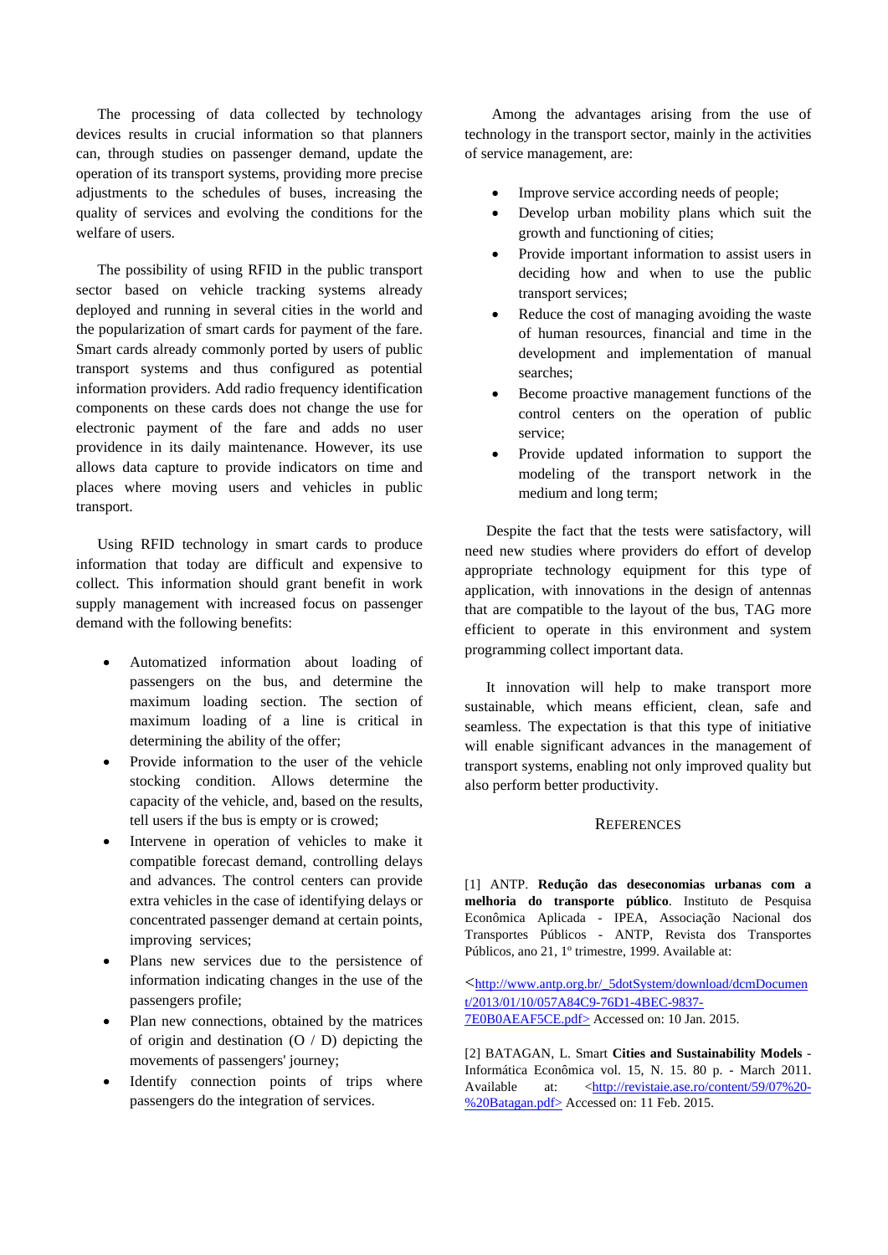The processing of data collected by technology devices results in crucial information so that planners can, through studies on passenger demand, update the operation of its transport systems, providing more precise adjustments to the schedules of buses, increasing the quality of services and evolving the conditions for the welfare of users.

The possibility of using RFID in the public transport sector based on vehicle tracking systems already deployed and running in several cities in the world and the popularization of smart cards for payment of the fare. Smart cards already commonly ported by users of public transport systems and thus configured as potential information providers. Add radio frequency identification components on these cards does not change the use for electronic payment of the fare and adds no user providence in its daily maintenance. However, its use allows data capture to provide indicators on time and places where moving users and vehicles in public transport.

Using RFID technology in smart cards to produce information that today are difficult and expensive to collect. This information should grant benefit in work supply management with increased focus on passenger demand with the following benefits:

- Automatized information about loading of passengers on the bus, and determine the maximum loading section. The section of maximum loading of a line is critical in determining the ability of the offer;
- Provide information to the user of the vehicle stocking condition. Allows determine the capacity of the vehicle, and, based on the results, tell users if the bus is empty or is crowed;
- Intervene in operation of vehicles to make it compatible forecast demand, controlling delays and advances. The control centers can provide extra vehicles in the case of identifying delays or concentrated passenger demand at certain points, improving services;
- Plans new services due to the persistence of information indicating changes in the use of the passengers profile;
- Plan new connections, obtained by the matrices of origin and destination (O / D) depicting the movements of passengers' journey;
- Identify connection points of trips where passengers do the integration of services.

Among the advantages arising from the use of technology in the transport sector, mainly in the activities of service management, are:

- Improve service according needs of people;
- Develop urban mobility plans which suit the growth and functioning of cities;
- Provide important information to assist users in deciding how and when to use the public transport services;
- Reduce the cost of managing avoiding the waste of human resources, financial and time in the development and implementation of manual searches;
- Become proactive management functions of the control centers on the operation of public service;
- Provide updated information to support the modeling of the transport network in the medium and long term;

Despite the fact that the tests were satisfactory, will need new studies where providers do effort of develop appropriate technology equipment for this type of application, with innovations in the design of antennas that are compatible to the layout of the bus, TAG more efficient to operate in this environment and system programming collect important data.

It innovation will help to make transport more sustainable, which means efficient, clean, safe and seamless. The expectation is that this type of initiative will enable significant advances in the management of transport systems, enabling not only improved quality but also perform better productivity.

## **REFERENCES**

[1] ANTP. **Redução das deseconomias urbanas com a melhoria do transporte público**. Instituto de Pesquisa Econômica Aplicada - IPEA, Associação Nacional dos Transportes Públicos - ANTP, Revista dos Transportes Públicos, ano 21, 1º trimestre, 1999. Available at:

<http://www.antp.org.br/\_5dotSystem/download/dcmDocumen t/2013/01/10/057A84C9-76D1-4BEC-9837- 7E0B0AEAF5CE.pdf> Accessed on: 10 Jan. 2015.

[2] BATAGAN, L. Smart **Cities and Sustainability Models** - Informática Econômica vol. 15, N. 15. 80 p. - March 2011. Available at: <http://revistaie.ase.ro/content/59/07%20- %20Batagan.pdf> Accessed on: 11 Feb. 2015.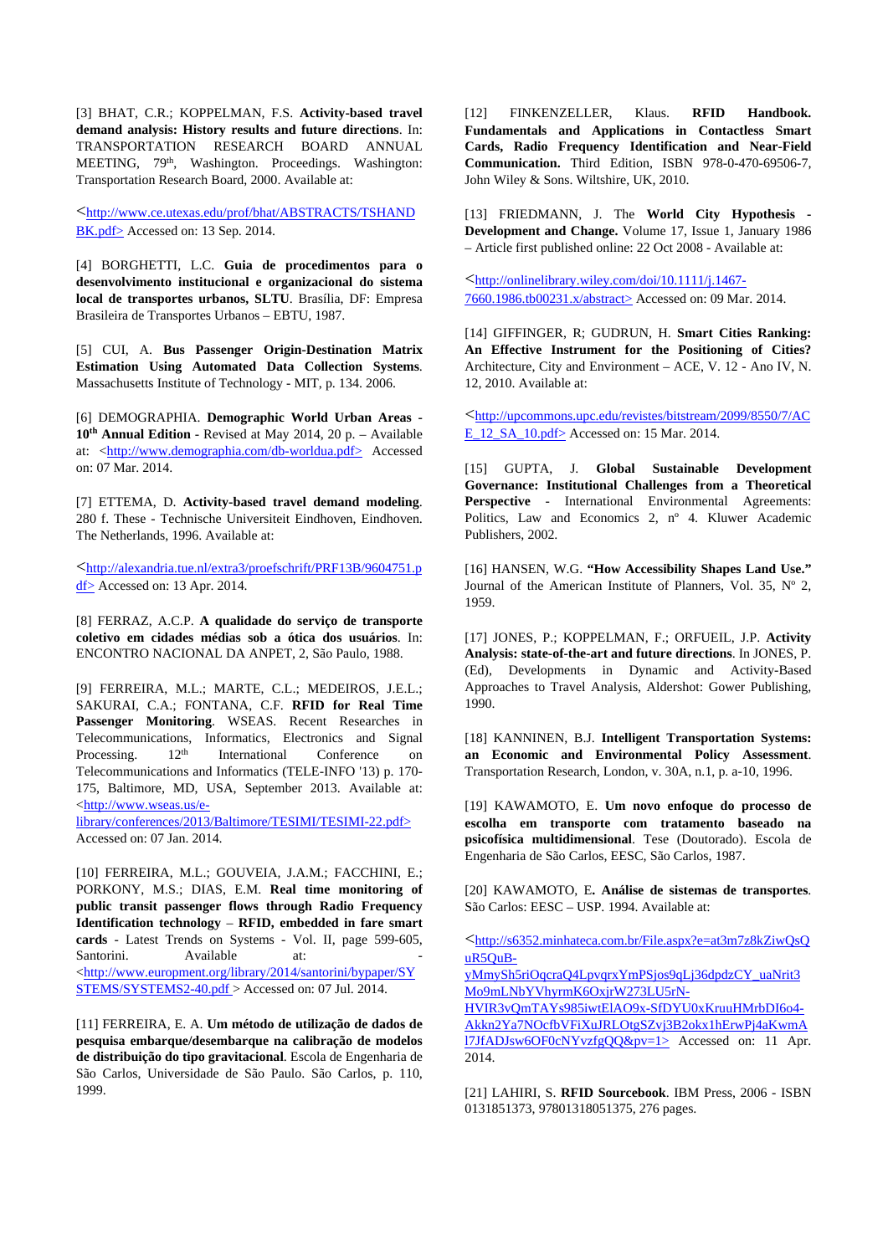[3] BHAT, C.R.; KOPPELMAN, F.S. **Activity-based travel demand analysis: History results and future directions**. In: TRANSPORTATION RESEARCH BOARD ANNUAL MEETING, 79<sup>th</sup>, Washington. Proceedings. Washington: Transportation Research Board, 2000. Available at:

<http://www.ce.utexas.edu/prof/bhat/ABSTRACTS/TSHAND BK.pdf> Accessed on: 13 Sep. 2014.

[4] BORGHETTI, L.C. **Guia de procedimentos para o desenvolvimento institucional e organizacional do sistema local de transportes urbanos, SLTU**. Brasília, DF: Empresa Brasileira de Transportes Urbanos – EBTU, 1987.

[5] CUI, A. **Bus Passenger Origin-Destination Matrix Estimation Using Automated Data Collection Systems**. Massachusetts Institute of Technology - MIT, p. 134. 2006.

[6] DEMOGRAPHIA. **Demographic World Urban Areas - 10th Annual Edition** - Revised at May 2014, 20 p. – Available at: <http://www.demographia.com/db-worldua.pdf> Accessed on: 07 Mar. 2014.

[7] ETTEMA, D. **Activity-based travel demand modeling**. 280 f. These - Technische Universiteit Eindhoven, Eindhoven. The Netherlands, 1996. Available at:

<http://alexandria.tue.nl/extra3/proefschrift/PRF13B/9604751.p df> Accessed on: 13 Apr. 2014.

[8] FERRAZ, A.C.P. **A qualidade do serviço de transporte coletivo em cidades médias sob a ótica dos usuários**. In: ENCONTRO NACIONAL DA ANPET, 2, São Paulo, 1988.

[9] FERREIRA, M.L.; MARTE, C.L.; MEDEIROS, J.E.L.; SAKURAI, C.A.; FONTANA, C.F. **RFID for Real Time Passenger Monitoring**. WSEAS. Recent Researches in Telecommunications, Informatics, Electronics and Signal Processing. 12<sup>th</sup> International Conference on Processing. 12<sup>th</sup> International Conference on Telecommunications and Informatics (TELE-INFO '13) p. 170- 175, Baltimore, MD, USA, September 2013. Available at: <http://www.wseas.us/e-

library/conferences/2013/Baltimore/TESIMI/TESIMI-22.pdf> Accessed on: 07 Jan. 2014.

[10] FERREIRA, M.L.; GOUVEIA, J.A.M.; FACCHINI, E.; PORKONY, M.S.; DIAS, E.M. **Real time monitoring of public transit passenger flows through Radio Frequency Identification technology** – **RFID, embedded in fare smart cards** - Latest Trends on Systems - Vol. II, page 599-605, Santorini. Available at: <http://www.europment.org/library/2014/santorini/bypaper/SY STEMS/SYSTEMS2-40.pdf > Accessed on: 07 Jul. 2014.

[11] FERREIRA, E. A. **Um método de utilização de dados de pesquisa embarque/desembarque na calibração de modelos de distribuição do tipo gravitacional**. Escola de Engenharia de São Carlos, Universidade de São Paulo. São Carlos, p. 110, 1999.

[12] FINKENZELLER, Klaus. **RFID Handbook. Fundamentals and Applications in Contactless Smart Cards, Radio Frequency Identification and Near-Field Communication.** Third Edition, ISBN 978-0-470-69506-7, John Wiley & Sons. Wiltshire, UK, 2010.

[13] FRIEDMANN, J. The **World City Hypothesis - Development and Change.** Volume 17, Issue 1, January 1986 – Article first published online: 22 Oct 2008 - Available at:

<http://onlinelibrary.wiley.com/doi/10.1111/j.1467- 7660.1986.tb00231.x/abstract> Accessed on: 09 Mar. 2014.

[14] GIFFINGER, R; GUDRUN, H. **Smart Cities Ranking: An Effective Instrument for the Positioning of Cities?** Architecture, City and Environment – ACE, V. 12 - Ano IV, N. 12, 2010. Available at:

<http://upcommons.upc.edu/revistes/bitstream/2099/8550/7/AC E\_12\_SA\_10.pdf> Accessed on: 15 Mar. 2014.

[15] GUPTA, J. **Global Sustainable Development Governance: Institutional Challenges from a Theoretical**  Perspective - International Environmental Agreements: Politics, Law and Economics 2, nº 4. Kluwer Academic Publishers, 2002.

[16] HANSEN, W.G. **"How Accessibility Shapes Land Use."** Journal of the American Institute of Planners, Vol. 35,  $N^{\circ}$  2, 1959.

[17] JONES, P.; KOPPELMAN, F.; ORFUEIL, J.P. **Activity Analysis: state-of-the-art and future directions**. In JONES, P. (Ed), Developments in Dynamic and Activity-Based Approaches to Travel Analysis, Aldershot: Gower Publishing, 1990.

[18] KANNINEN, B.J. **Intelligent Transportation Systems: an Economic and Environmental Policy Assessment**. Transportation Research, London, v. 30A, n.1, p. a-10, 1996.

[19] KAWAMOTO, E. **Um novo enfoque do processo de escolha em transporte com tratamento baseado na psicofísica multidimensional**. Tese (Doutorado). Escola de Engenharia de São Carlos, EESC, São Carlos, 1987.

[20] KAWAMOTO, E**. Análise de sistemas de transportes**. São Carlos: EESC – USP. 1994. Available at:

<http://s6352.minhateca.com.br/File.aspx?e=at3m7z8kZiwQsQ uR5QuB-

yMmySh5riOqcraQ4LpvqrxYmPSjos9qLj36dpdzCY\_uaNrit3 Mo9mLNbYVhyrmK6OxjrW273LU5rN-

HVIR3vQmTAYs985iwtElAO9x-SfDYU0xKruuHMrbDI6o4- Akkn2Ya7NOcfbVFiXuJRLOtgSZvj3B2okx1hErwPj4aKwmA l7JfADJsw6OF0cNYvzfgQQ&pv=1> Accessed on: 11 Apr. 2014.

[21] LAHIRI, S. **RFID Sourcebook**. IBM Press, 2006 - ISBN 0131851373, 97801318051375, 276 pages.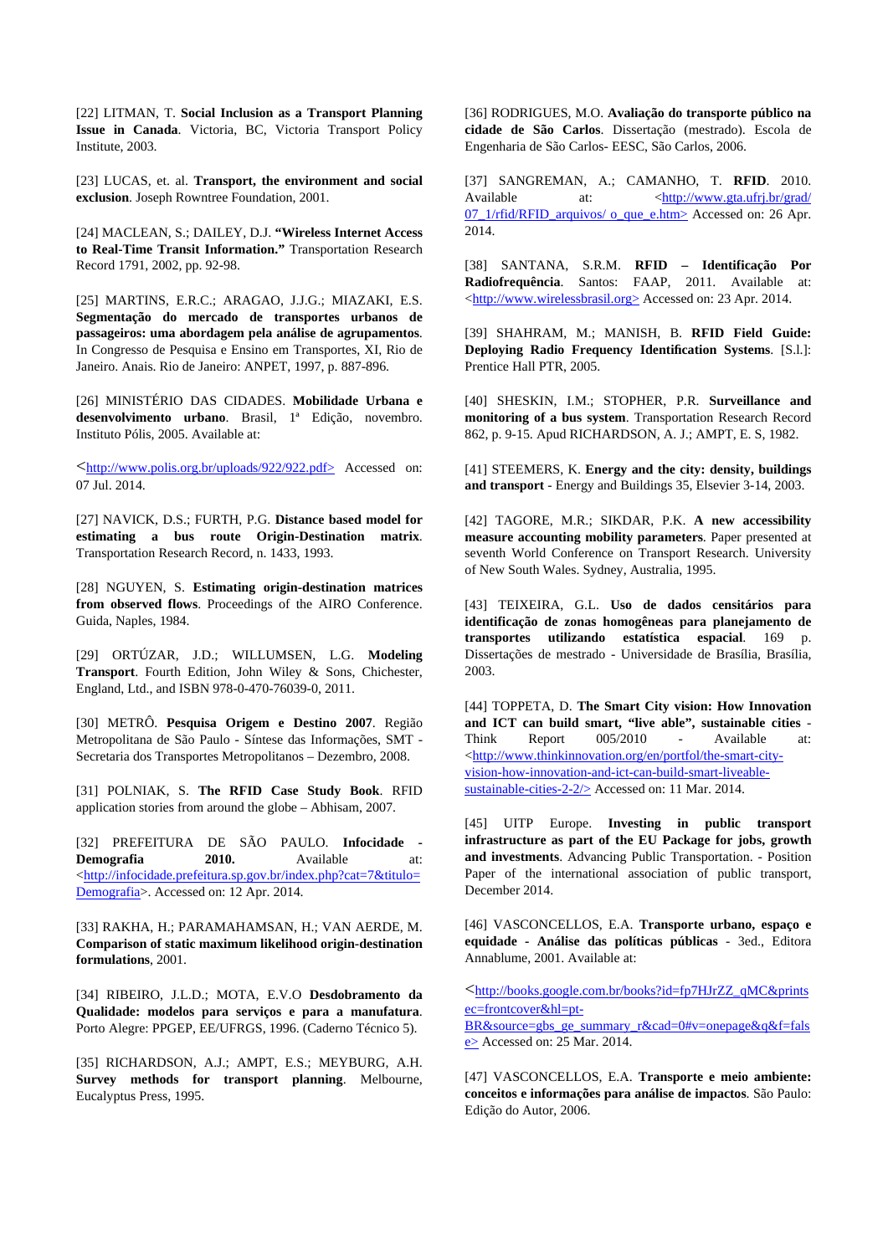[22] LITMAN, T. **Social Inclusion as a Transport Planning Issue in Canada**. Victoria, BC, Victoria Transport Policy Institute, 2003.

[23] LUCAS, et. al. **Transport, the environment and social exclusion**. Joseph Rowntree Foundation, 2001.

[24] MACLEAN, S.; DAILEY, D.J. **"Wireless Internet Access to Real-Time Transit Information."** Transportation Research Record 1791, 2002, pp. 92-98.

[25] MARTINS, E.R.C.; ARAGAO, J.J.G.; MIAZAKI, E.S. **Segmentação do mercado de transportes urbanos de passageiros: uma abordagem pela análise de agrupamentos**. In Congresso de Pesquisa e Ensino em Transportes, XI, Rio de Janeiro. Anais. Rio de Janeiro: ANPET, 1997, p. 887-896.

[26] MINISTÉRIO DAS CIDADES. **Mobilidade Urbana e desenvolvimento urbano**. Brasil, 1ª Edição, novembro. Instituto Pólis, 2005. Available at:

<http://www.polis.org.br/uploads/922/922.pdf> Accessed on: 07 Jul. 2014.

[27] NAVICK, D.S.; FURTH, P.G. **Distance based model for estimating a bus route Origin-Destination matrix**. Transportation Research Record, n. 1433, 1993.

[28] NGUYEN, S. **Estimating origin-destination matrices from observed flows**. Proceedings of the AIRO Conference. Guida, Naples, 1984.

[29] ORTÚZAR, J.D.; WILLUMSEN, L.G. **Modeling Transport**. Fourth Edition, John Wiley & Sons, Chichester, England, Ltd., and ISBN 978-0-470-76039-0, 2011.

[30] METRÔ. **Pesquisa Origem e Destino 2007**. Região Metropolitana de São Paulo - Síntese das Informações, SMT - Secretaria dos Transportes Metropolitanos – Dezembro, 2008.

[31] POLNIAK, S. **The RFID Case Study Book**. RFID application stories from around the globe – Abhisam, 2007.

[32] PREFEITURA DE SÃO PAULO. **Infocidade - Demografia 2010.** Available at: <http://infocidade.prefeitura.sp.gov.br/index.php?cat=7&titulo= Demografia>. Accessed on: 12 Apr. 2014.

[33] RAKHA, H.; PARAMAHAMSAN, H.; VAN AERDE, M. **Comparison of static maximum likelihood origin-destination formulations**, 2001.

[34] RIBEIRO, J.L.D.; MOTA, E.V.O **Desdobramento da Qualidade: modelos para serviços e para a manufatura**. Porto Alegre: PPGEP, EE/UFRGS, 1996. (Caderno Técnico 5).

[35] RICHARDSON, A.J.; AMPT, E.S.; MEYBURG, A.H. **Survey methods for transport planning**. Melbourne, Eucalyptus Press, 1995.

[36] RODRIGUES, M.O. **Avaliação do transporte público na cidade de São Carlos**. Dissertação (mestrado). Escola de Engenharia de São Carlos- EESC, São Carlos, 2006.

[37] SANGREMAN, A.; CAMANHO, T. **RFID**. 2010. Available at:  $\langle \frac{http://www.gta.ufrj.br/grad}{http://www.gta.ufrj.br/grad}{\rangle}$ 07\_1/rfid/RFID\_arquivos/ o\_que\_e.htm> Accessed on: 26 Apr. 2014.

[38] SANTANA, S.R.M. **RFID – Identificação Por Radiofrequência**. Santos: FAAP, 2011. Available at: <http://www.wirelessbrasil.org> Accessed on: 23 Apr. 2014.

[39] SHAHRAM, M.; MANISH, B. **RFID Field Guide: Deploying Radio Frequency Identification Systems**. [S.l.]: Prentice Hall PTR, 2005.

[40] SHESKIN, I.M.; STOPHER, P.R. **Surveillance and monitoring of a bus system**. Transportation Research Record 862, p. 9-15. Apud RICHARDSON, A. J.; AMPT, E. S, 1982.

[41] STEEMERS, K. **Energy and the city: density, buildings and transport** - Energy and Buildings 35, Elsevier 3-14, 2003.

[42] TAGORE, M.R.; SIKDAR, P.K. **A new accessibility measure accounting mobility parameters**. Paper presented at seventh World Conference on Transport Research. University of New South Wales. Sydney, Australia, 1995.

[43] TEIXEIRA, G.L. **Uso de dados censitários para identificação de zonas homogêneas para planejamento de transportes utilizando estatística espacial**. 169 p. Dissertações de mestrado - Universidade de Brasília, Brasília, 2003.

[44] TOPPETA, D. **The Smart City vision: How Innovation and ICT can build smart, "live able", sustainable cities** - Think Report 005/2010 - Available at: <http://www.thinkinnovation.org/en/portfol/the-smart-cityvision-how-innovation-and-ict-can-build-smart-liveablesustainable-cities-2-2/> Accessed on: 11 Mar. 2014.

[45] UITP Europe. **Investing in public transport infrastructure as part of the EU Package for jobs, growth and investments**. Advancing Public Transportation. - Position Paper of the international association of public transport, December 2014.

[46] VASCONCELLOS, E.A. **Transporte urbano, espaço e equidade - Análise das políticas públicas** - 3ed., Editora Annablume, 2001. Available at:

<http://books.google.com.br/books?id=fp7HJrZZ\_qMC&prints ec=frontcover&hl=pt-BR&source=gbs\_ge\_summary\_r&cad=0#v=onepage&q&f=fals

e> Accessed on: 25 Mar. 2014.

[47] VASCONCELLOS, E.A. **Transporte e meio ambiente: conceitos e informações para análise de impactos**. São Paulo: Edição do Autor, 2006.